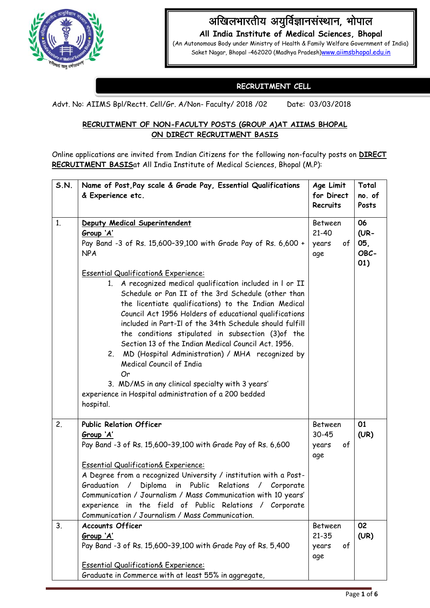# अखिलभारतीय अयुर्विज्ञानसंस्थान, भोपाल



**All India Institute of Medical Sciences, Bhopal** (An Autonomous Body under Ministry of Health & Family Welfare Government of India) Saket Nagar, Bhopal -462020 (Madhya Pradesh)[www.aiimsbhopal.edu.in](http://www.aiimsbhopal.edu.in/)

# **RECRUITMENT CELL**

Advt. No: AIIMS Bpl/Rectt. Cell/Gr. A/Non- Faculty/ 2018 /02 Date: 03/03/2018

# **RECRUITMENT OF NON-FACULTY POSTS (GROUP A)AT AIIMS BHOPAL ON DIRECT RECRUITMENT BASIS**

Online applications are invited from Indian Citizens for the following non-faculty posts on **DIRECT RECRUITMENT BASIS**at All India Institute of Medical Sciences, Bhopal (M.P):

| S.N.           | Name of Post, Pay scale & Grade Pay, Essential Qualifications                                                | Age Limit      | Total   |
|----------------|--------------------------------------------------------------------------------------------------------------|----------------|---------|
|                | & Experience etc.                                                                                            | for Direct     | no. of  |
|                |                                                                                                              | Recruits       | Posts   |
| 1 <sub>1</sub> | Deputy Medical Superintendent                                                                                | <b>Between</b> | 06      |
|                | Group 'A'                                                                                                    | 21-40          | $(UR -$ |
|                | Pay Band -3 of Rs. 15,600-39,100 with Grade Pay of Rs. 6,600 +                                               | years<br>of    | 05,     |
|                | <b>NPA</b>                                                                                                   | age            | OBC-    |
|                |                                                                                                              |                | 01)     |
|                | <b>Essential Qualification&amp; Experience:</b><br>1. A recognized medical qualification included in I or II |                |         |
|                | Schedule or Pan II of the 3rd Schedule (other than                                                           |                |         |
|                | the licentiate qualifications) to the Indian Medical                                                         |                |         |
|                | Council Act 1956 Holders of educational qualifications                                                       |                |         |
|                | included in Part-Il of the 34th Schedule should fulfill                                                      |                |         |
|                | the conditions stipulated in subsection (3) of the                                                           |                |         |
|                | Section 13 of the Indian Medical Council Act. 1956.                                                          |                |         |
|                | 2. MD (Hospital Administration) / MHA recognized by                                                          |                |         |
|                | Medical Council of India                                                                                     |                |         |
|                | Or                                                                                                           |                |         |
|                | 3. MD/MS in any clinical specialty with 3 years'                                                             |                |         |
|                | experience in Hospital administration of a 200 bedded                                                        |                |         |
|                | hospital.                                                                                                    |                |         |
| 2.             | <b>Public Relation Officer</b>                                                                               | <b>Between</b> | 01      |
|                | Group 'A'                                                                                                    | $30 - 45$      | (UR)    |
|                | Pay Band -3 of Rs. 15,600-39,100 with Grade Pay of Rs. 6,600                                                 | years<br>of    |         |
|                | <b>Essential Qualification&amp; Experience:</b>                                                              | age            |         |
|                | A Degree from a recognized University / institution with a Post-                                             |                |         |
|                | Diploma in Public Relations<br>Graduation /<br>/ Corporate                                                   |                |         |
|                | Communication / Journalism / Mass Communication with 10 years'                                               |                |         |
|                | experience in the field of Public Relations / Corporate                                                      |                |         |
|                | Communication / Journalism / Mass Communication.                                                             |                |         |
| 3.             | <b>Accounts Officer</b>                                                                                      | <b>Between</b> | 02      |
|                | Group 'A'                                                                                                    | $21 - 35$      | (UR)    |
|                | Pay Band -3 of Rs. 15,600-39,100 with Grade Pay of Rs. 5,400                                                 | of<br>years    |         |
|                | <b>Essential Qualification&amp; Experience:</b>                                                              | age            |         |
|                | Graduate in Commerce with at least 55% in aggregate,                                                         |                |         |
|                |                                                                                                              |                |         |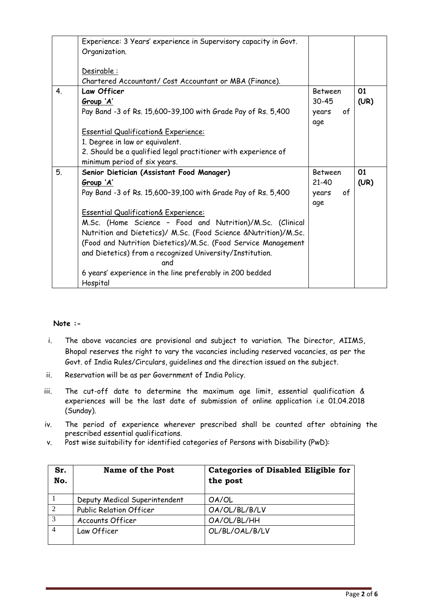|    | Experience: 3 Years' experience in Supervisory capacity in Govt. |                |      |
|----|------------------------------------------------------------------|----------------|------|
|    | Organization.                                                    |                |      |
|    |                                                                  |                |      |
|    | Desirable:                                                       |                |      |
|    | Chartered Accountant/ Cost Accountant or MBA (Finance).          |                |      |
| 4. | Law Officer                                                      | <b>Between</b> | 01   |
|    | Group 'A'                                                        | 30-45          | (UR) |
|    | Pay Band -3 of Rs. 15,600-39,100 with Grade Pay of Rs. 5,400     | of<br>years    |      |
|    |                                                                  | age            |      |
|    | <b>Essential Qualification&amp; Experience:</b>                  |                |      |
|    | 1. Degree in law or equivalent.                                  |                |      |
|    | 2. Should be a qualified legal practitioner with experience of   |                |      |
|    | minimum period of six years.                                     |                |      |
| 5. | Senior Dietician (Assistant Food Manager)                        | Between        | 01   |
|    | Group 'A'                                                        | 21-40          | (UR) |
|    | Pay Band -3 of Rs. 15,600-39,100 with Grade Pay of Rs. 5,400     | of<br>years    |      |
|    |                                                                  | age            |      |
|    | <b>Essential Qualification&amp; Experience:</b>                  |                |      |
|    | M.Sc. (Home Science - Food and Nutrition)/M.Sc. (Clinical        |                |      |
|    | Nutrition and Dietetics)/ M.Sc. (Food Science &Nutrition)/M.Sc.  |                |      |
|    | (Food and Nutrition Dietetics)/M.Sc. (Food Service Management    |                |      |
|    | and Dietetics) from a recognized University/Institution.         |                |      |
|    | and                                                              |                |      |
|    | 6 years' experience in the line preferably in 200 bedded         |                |      |
|    | Hospital                                                         |                |      |

# **Note :-**

- i. The above vacancies are provisional and subject to variation. The Director, AIIMS, Bhopal reserves the right to vary the vacancies including reserved vacancies, as per the Govt. of India Rules/Circulars, guidelines and the direction issued on the subject.
- ii. Reservation will be as per Government of India Policy.
- iii. The cut-off date to determine the maximum age limit, essential qualification & experiences will be the last date of submission of online application i.e 01.04.2018 (Sunday).
- iv. The period of experience wherever prescribed shall be counted after obtaining the prescribed essential qualifications.
- v. Post wise suitability for identified categories of Persons with Disability (PwD):

| Sr.<br>No. | <b>Name of the Post</b>       | <b>Categories of Disabled Eligible for</b><br>the post |
|------------|-------------------------------|--------------------------------------------------------|
|            | Deputy Medical Superintendent | OA/OL                                                  |
| 2          | Public Relation Officer       | OA/OL/BL/B/LV                                          |
|            | Accounts Officer              | OA/OL/BL/HH                                            |
|            | Law Officer                   | OL/BL/OAL/B/LV                                         |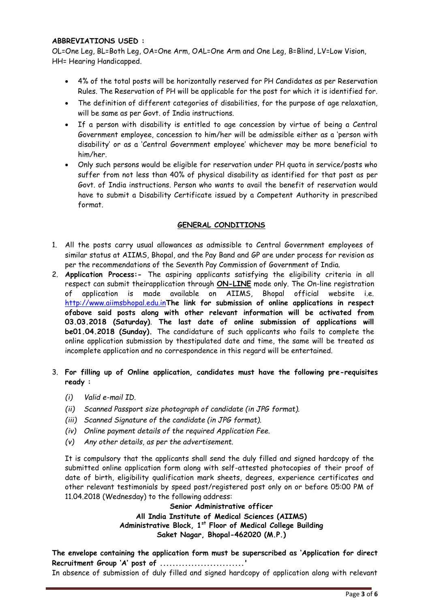#### **ABBREVIATIONS USED :**

OL=One Leg, BL=Both Leg, OA=One Arm, OAL=One Arm and One Leg, B=Blind, LV=Low Vision, HH= Hearing Handicapped.

- 4% of the total posts will be horizontally reserved for PH Candidates as per Reservation Rules. The Reservation of PH will be applicable for the post for which it is identified for.
- The definition of different categories of disabilities, for the purpose of age relaxation, will be same as per Govt. of India instructions.
- If a person with disability is entitled to age concession by virtue of being a Central Government employee, concession to him/her will be admissible either as a 'person with disability' or as a 'Central Government employee' whichever may be more beneficial to him/her.
- Only such persons would be eligible for reservation under PH quota in service/posts who suffer from not less than 40% of physical disability as identified for that post as per Govt. of India instructions. Person who wants to avail the benefit of reservation would have to submit a Disability Certificate issued by a Competent Authority in prescribed format.

# **GENERAL CONDITIONS**

- 1. All the posts carry usual allowances as admissible to Central Government employees of similar status at AIIMS, Bhopal, and the Pay Band and GP are under process for revision as per the recommendations of the Seventh Pay Commission of Government of India.
- 2. **Application Process:-** The aspiring applicants satisfying the eligibility criteria in all respect can submit theirapplication through **ON-LINE** mode only. The On-line registration of application is made available on AIIMS, Bhopal official website i.e. http://www.aiimsbhopal.edu.in**The link for submission of online applications in respect ofabove said posts along with other relevant information will be activated from 03.03.2018 (Saturday)**. **The last date of online submission of applications will be01.04.2018 (Sunday).** The candidature of such applicants who fails to complete the online application submission by thestipulated date and time, the same will be treated as incomplete application and no correspondence in this regard will be entertained.

# 3. **For filling up of Online application, candidates must have the following pre-requisites ready :**

- *(i) Valid e-mail ID.*
- *(ii) Scanned Passport size photograph of candidate (in JPG format).*
- *(iii) Scanned Signature of the candidate (in JPG format).*
- *(iv) Online payment details of the required Application Fee.*
- *(v) Any other details, as per the advertisement.*

It is compulsory that the applicants shall send the duly filled and signed hardcopy of the submitted online application form along with self-attested photocopies of their proof of date of birth, eligibility qualification mark sheets, degrees, experience certificates and other relevant testimonials by speed post/registered post only on or before 05:00 PM of 11.04.2018 (Wednesday) to the following address:

# **Senior Administrative officer All India Institute of Medical Sciences (AIIMS) Administrative Block, 1st Floor of Medical College Building Saket Nagar, Bhopal-462020 (M.P.)**

**The envelope containing the application form must be superscribed as 'Application for direct Recruitment Group 'A' post of ...........................'**

In absence of submission of duly filled and signed hardcopy of application along with relevant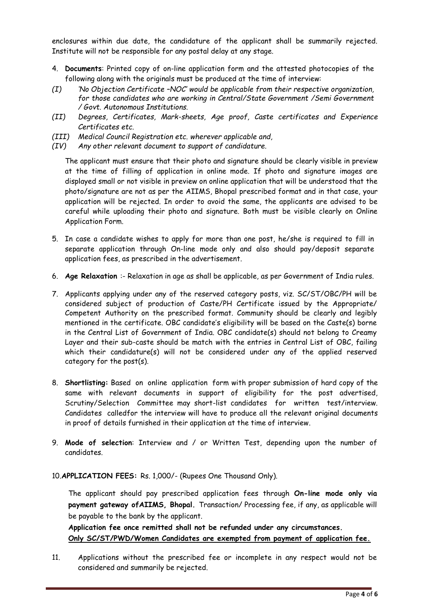enclosures within due date, the candidature of the applicant shall be summarily rejected. Institute will not be responsible for any postal delay at any stage.

- 4. **Documents**: Printed copy of on-line application form and the attested photocopies of the following along with the originals must be produced at the time of interview:
- *(I) 'No Objection Certificate –NOC' would be applicable from their respective organization, for those candidates who are working in Central/State Government /Semi Government / Govt. Autonomous Institutions.*
- *(II) Degrees, Certificates, Mark-sheets, Age proof, Caste certificates and Experience Certificates etc.*
- *(III) Medical Council Registration etc. wherever applicable and,*
- *(IV) Any other relevant document to support of candidature.*

The applicant must ensure that their photo and signature should be clearly visible in preview at the time of filling of application in online mode. If photo and signature images are displayed small or not visible in preview on online application that will be understood that the photo/signature are not as per the AIIMS, Bhopal prescribed format and in that case, your application will be rejected. In order to avoid the same, the applicants are advised to be careful while uploading their photo and signature. Both must be visible clearly on Online Application Form.

- 5. In case a candidate wishes to apply for more than one post, he/she is required to fill in separate application through On-line mode only and also should pay/deposit separate application fees, as prescribed in the advertisement.
- 6. **Age Relaxation** :- Relaxation in age as shall be applicable, as per Government of India rules.
- 7. Applicants applying under any of the reserved category posts, viz. SC/ST/OBC/PH will be considered subject of production of Caste/PH Certificate issued by the Appropriate/ Competent Authority on the prescribed format. Community should be clearly and legibly mentioned in the certificate. OBC candidate's eligibility will be based on the Caste(s) borne in the Central List of Government of India. OBC candidate(s) should not belong to Creamy Layer and their sub-caste should be match with the entries in Central List of OBC, failing which their candidature(s) will not be considered under any of the applied reserved category for the post(s).
- 8. **Shortlisting:** Based on online application form with proper submission of hard copy of the same with relevant documents in support of eligibility for the post advertised, Scrutiny/Selection Committee may short-list candidates for written test/interview. Candidates calledfor the interview will have to produce all the relevant original documents in proof of details furnished in their application at the time of interview.
- 9. **Mode of selection**: Interview and / or Written Test, depending upon the number of candidates.

# 10.**APPLICATION FEES:** Rs. 1,000/- (Rupees One Thousand Only).

The applicant should pay prescribed application fees through **On-line mode only via payment gateway ofAIIMS, Bhopal.** Transaction/ Processing fee, if any, as applicable will be payable to the bank by the applicant.

**Application fee once remitted shall not be refunded under any circumstances. Only SC/ST/PWD/Women Candidates are exempted from payment of application fee.** 

11. Applications without the prescribed fee or incomplete in any respect would not be considered and summarily be rejected.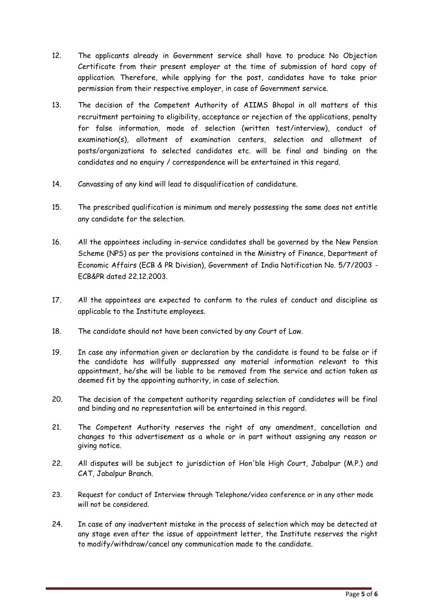- 12. The applicants already in Government service shall have to produce No Objection Certificate from their present employer at the time of submission of hard copy of application. Therefore, while applying for the post, candidates have to take prior permission from their respective employer, in case of Government service.
- 13. The decision of the Competent Authority of AIIMS Bhopal in all matters of this recruitment pertaining to eligibility, acceptance or rejection of the applications, penalty for false information, mode of selection (written test/interview), conduct of examination(s), allotment of examination centers, selection and allotment of posts/organizations to selected candidates etc. will be final and binding on the candidates and no enquiry / correspondence will be entertained in this regard.
- 14. Canvassing of any kind will lead to disqualification of candidature.
- 15. The prescribed qualification is minimum and merely possessing the same does not entitle any candidate for the selection.
- 16. All the appointees including in-service candidates shall be governed by the New Pension Scheme (NPS) as per the provisions contained in the Ministry of Finance, Department of Economic Affairs (ECB & PR Division), Government of India Notification No. 5/7/2003 - ECB&PR dated 22.12.2003.
- 17. All the appointees are expected to conform to the rules of conduct and discipline as applicable to the Institute employees.
- 18. The candidate should not have been convicted by any Court of Law.
- 19. In case any information given or declaration by the candidate is found to be false or if the candidate has willfully suppressed any material information relevant to this appointment, he/she will be liable to be removed from the service and action taken as deemed fit by the appointing authority, in case of selection.
- 20. The decision of the competent authority regarding selection of candidates will be final and binding and no representation will be entertained in this regard.
- 21. The Competent Authority reserves the right of any amendment, cancellation and changes to this advertisement as a whole or in part without assigning any reason or giving notice.
- 22. All disputes will be subject to jurisdiction of Hon'ble High Court, Jabalpur (M.P.) and CAT, Jabalpur Branch.
- 23. Request for conduct of Interview through Telephone/video conference or in any other mode will not be considered.
- 24. In case of any inadvertent mistake in the process of selection which may be detected at any stage even after the issue of appointment letter, the Institute reserves the right to modify/withdraw/cancel any communication made to the candidate.